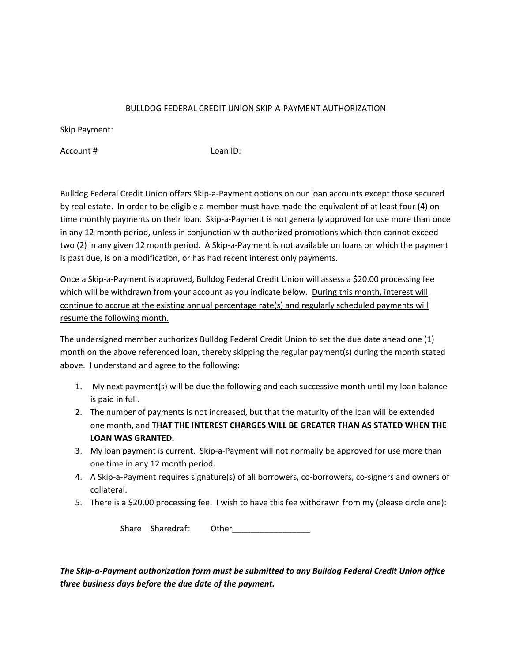## BULLDOG FEDERAL CREDIT UNION SKIP‐A‐PAYMENT AUTHORIZATION

Skip Payment:

Account # Loan ID:

Bulldog Federal Credit Union offers Skip‐a‐Payment options on our loan accounts except those secured by real estate. In order to be eligible a member must have made the equivalent of at least four (4) on time monthly payments on their loan. Skip-a-Payment is not generally approved for use more than once in any 12-month period, unless in conjunction with authorized promotions which then cannot exceed two (2) in any given 12 month period. A Skip‐a‐Payment is not available on loans on which the payment is past due, is on a modification, or has had recent interest only payments.

Once a Skip‐a‐Payment is approved, Bulldog Federal Credit Union will assess a \$20.00 processing fee which will be withdrawn from your account as you indicate below. During this month, interest will continue to accrue at the existing annual percentage rate(s) and regularly scheduled payments will resume the following month.

The undersigned member authorizes Bulldog Federal Credit Union to set the due date ahead one (1) month on the above referenced loan, thereby skipping the regular payment(s) during the month stated above. I understand and agree to the following:

- 1. My next payment(s) will be due the following and each successive month until my loan balance is paid in full.
- 2. The number of payments is not increased, but that the maturity of the loan will be extended one month, and **THAT THE INTEREST CHARGES WILL BE GREATER THAN AS STATED WHEN THE LOAN WAS GRANTED.**
- 3. My loan payment is current. Skip-a-Payment will not normally be approved for use more than one time in any 12 month period.
- 4. A Skip-a-Payment requires signature(s) of all borrowers, co-borrowers, co-signers and owners of collateral.
- 5. There is a \$20.00 processing fee. I wish to have this fee withdrawn from my (please circle one):

Share Sharedraft Other\_\_\_\_\_\_\_\_\_\_\_\_\_\_\_\_\_

*The Skip‐a‐Payment authorization form must be submitted to any Bulldog Federal Credit Union office three business days before the due date of the payment.*